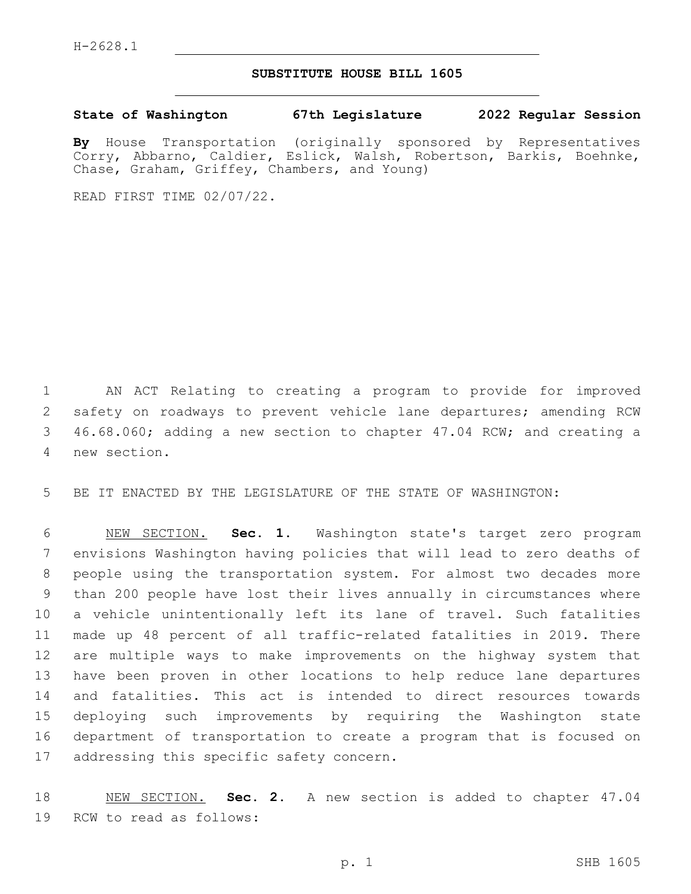## **SUBSTITUTE HOUSE BILL 1605**

**State of Washington 67th Legislature 2022 Regular Session**

**By** House Transportation (originally sponsored by Representatives Corry, Abbarno, Caldier, Eslick, Walsh, Robertson, Barkis, Boehnke, Chase, Graham, Griffey, Chambers, and Young)

READ FIRST TIME 02/07/22.

 AN ACT Relating to creating a program to provide for improved safety on roadways to prevent vehicle lane departures; amending RCW 46.68.060; adding a new section to chapter 47.04 RCW; and creating a new section.4

BE IT ENACTED BY THE LEGISLATURE OF THE STATE OF WASHINGTON:

 NEW SECTION. **Sec. 1.** Washington state's target zero program envisions Washington having policies that will lead to zero deaths of people using the transportation system. For almost two decades more than 200 people have lost their lives annually in circumstances where a vehicle unintentionally left its lane of travel. Such fatalities made up 48 percent of all traffic-related fatalities in 2019. There are multiple ways to make improvements on the highway system that have been proven in other locations to help reduce lane departures and fatalities. This act is intended to direct resources towards deploying such improvements by requiring the Washington state department of transportation to create a program that is focused on addressing this specific safety concern.

 NEW SECTION. **Sec. 2.** A new section is added to chapter 47.04 19 RCW to read as follows: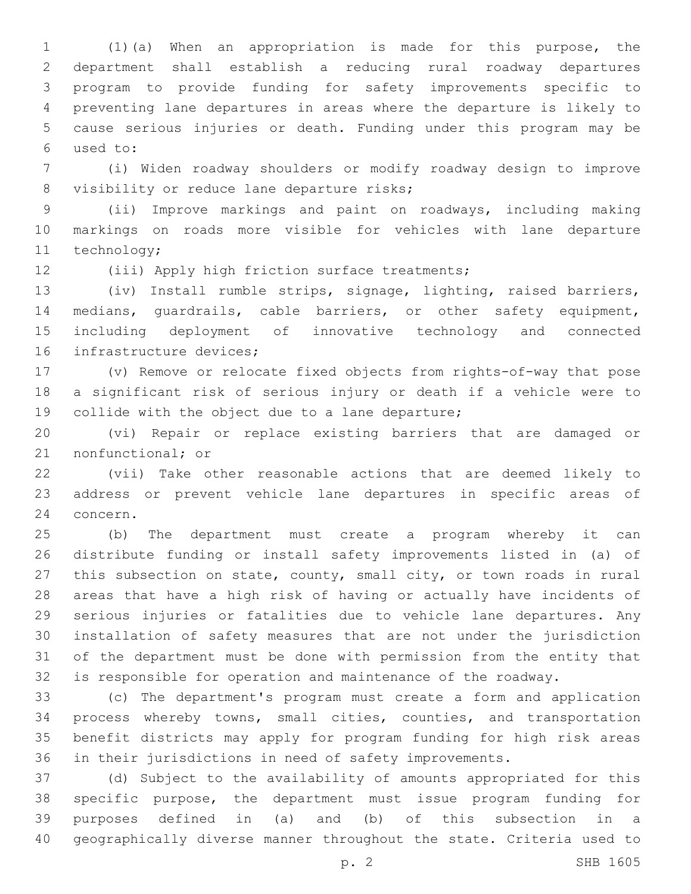(1)(a) When an appropriation is made for this purpose, the department shall establish a reducing rural roadway departures program to provide funding for safety improvements specific to preventing lane departures in areas where the departure is likely to cause serious injuries or death. Funding under this program may be used to:6

 (i) Widen roadway shoulders or modify roadway design to improve 8 visibility or reduce lane departure risks;

 (ii) Improve markings and paint on roadways, including making markings on roads more visible for vehicles with lane departure 11 technology;

12 (iii) Apply high friction surface treatments;

 (iv) Install rumble strips, signage, lighting, raised barriers, medians, guardrails, cable barriers, or other safety equipment, including deployment of innovative technology and connected 16 infrastructure devices;

 (v) Remove or relocate fixed objects from rights-of-way that pose a significant risk of serious injury or death if a vehicle were to 19 collide with the object due to a lane departure;

 (vi) Repair or replace existing barriers that are damaged or 21 nonfunctional; or

 (vii) Take other reasonable actions that are deemed likely to address or prevent vehicle lane departures in specific areas of 24 concern.

 (b) The department must create a program whereby it can distribute funding or install safety improvements listed in (a) of this subsection on state, county, small city, or town roads in rural areas that have a high risk of having or actually have incidents of serious injuries or fatalities due to vehicle lane departures. Any installation of safety measures that are not under the jurisdiction of the department must be done with permission from the entity that is responsible for operation and maintenance of the roadway.

 (c) The department's program must create a form and application process whereby towns, small cities, counties, and transportation benefit districts may apply for program funding for high risk areas in their jurisdictions in need of safety improvements.

 (d) Subject to the availability of amounts appropriated for this specific purpose, the department must issue program funding for purposes defined in (a) and (b) of this subsection in a geographically diverse manner throughout the state. Criteria used to

p. 2 SHB 1605